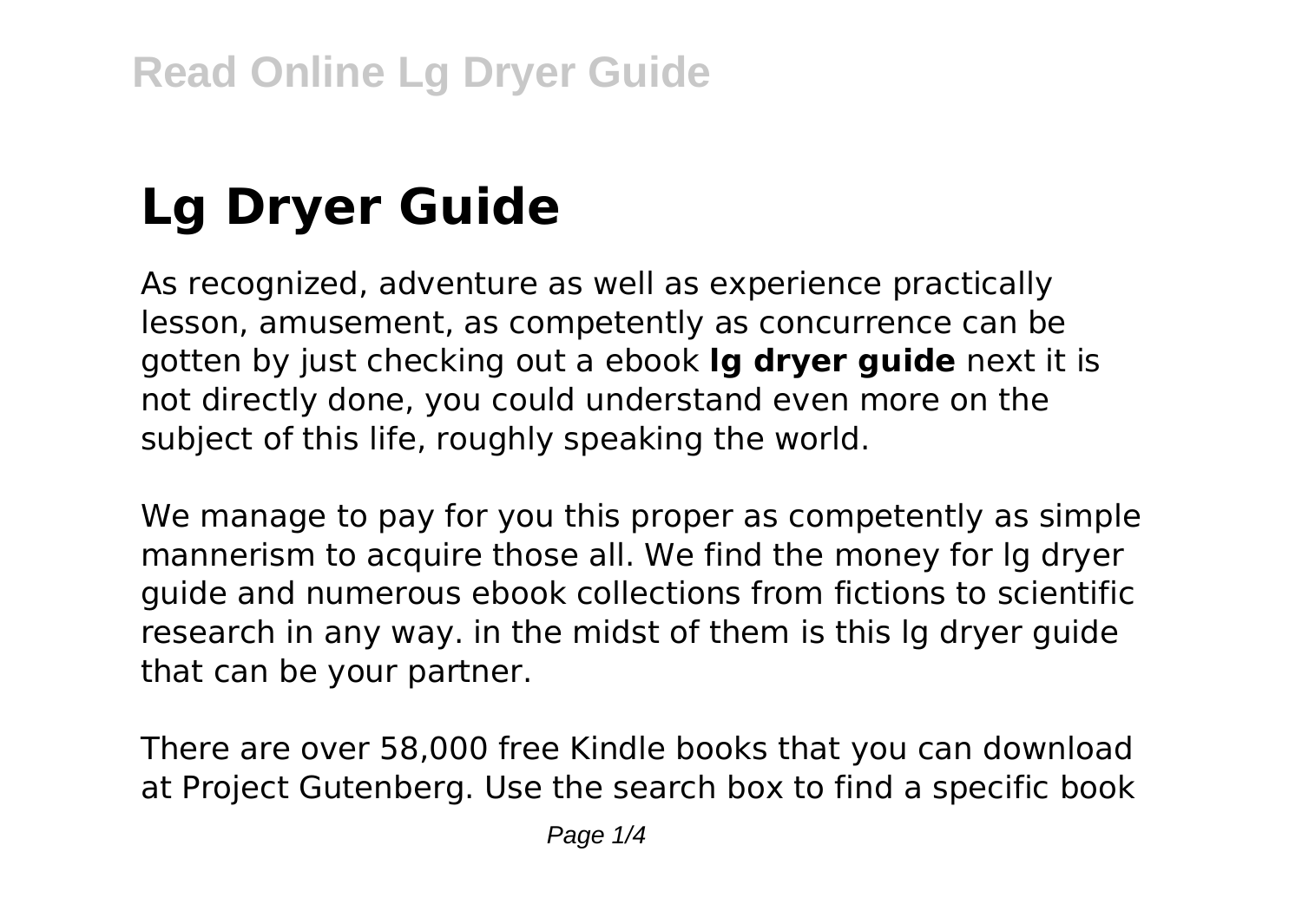# **Lg Dryer Guide**

As recognized, adventure as well as experience practically lesson, amusement, as competently as concurrence can be gotten by just checking out a ebook **lg dryer guide** next it is not directly done, you could understand even more on the subject of this life, roughly speaking the world.

We manage to pay for you this proper as competently as simple mannerism to acquire those all. We find the money for lg dryer guide and numerous ebook collections from fictions to scientific research in any way. in the midst of them is this lg dryer guide that can be your partner.

There are over 58,000 free Kindle books that you can download at Project Gutenberg. Use the search box to find a specific book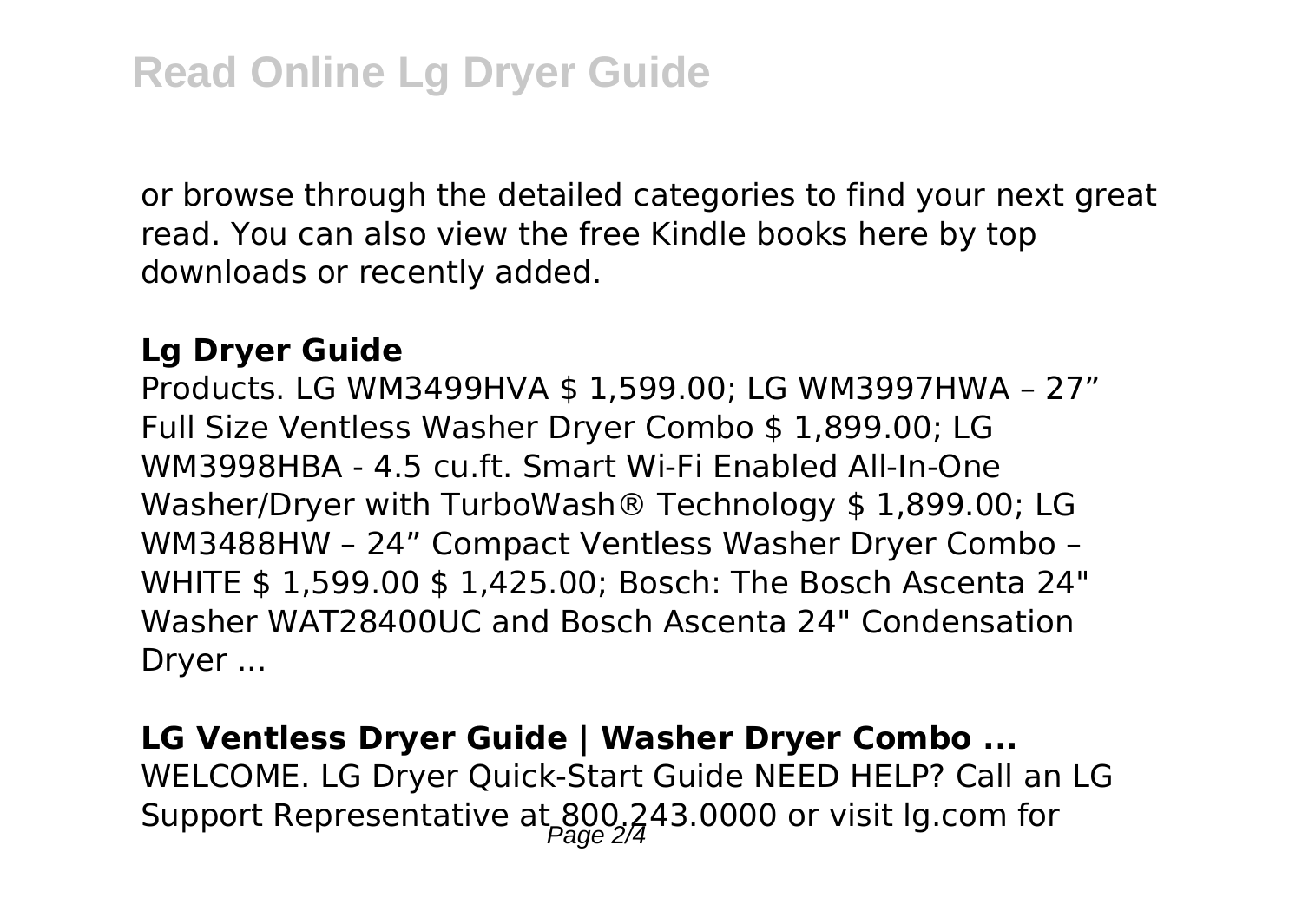or browse through the detailed categories to find your next great read. You can also view the free Kindle books here by top downloads or recently added.

#### **Lg Dryer Guide**

Products. LG WM3499HVA \$ 1,599.00; LG WM3997HWA – 27" Full Size Ventless Washer Dryer Combo \$ 1,899.00; LG WM3998HBA - 4.5 cu.ft. Smart Wi-Fi Enabled All-In-One Washer/Dryer with TurboWash® Technology \$ 1,899.00; LG WM3488HW – 24" Compact Ventless Washer Dryer Combo – WHITE \$ 1,599.00 \$ 1,425.00; Bosch: The Bosch Ascenta 24" Washer WAT28400UC and Bosch Ascenta 24" Condensation Dryer ...

### **LG Ventless Dryer Guide | Washer Dryer Combo ...** WELCOME. LG Dryer Quick-Start Guide NEED HELP? Call an LG Support Representative at  $800,243.0000$  or visit lg.com for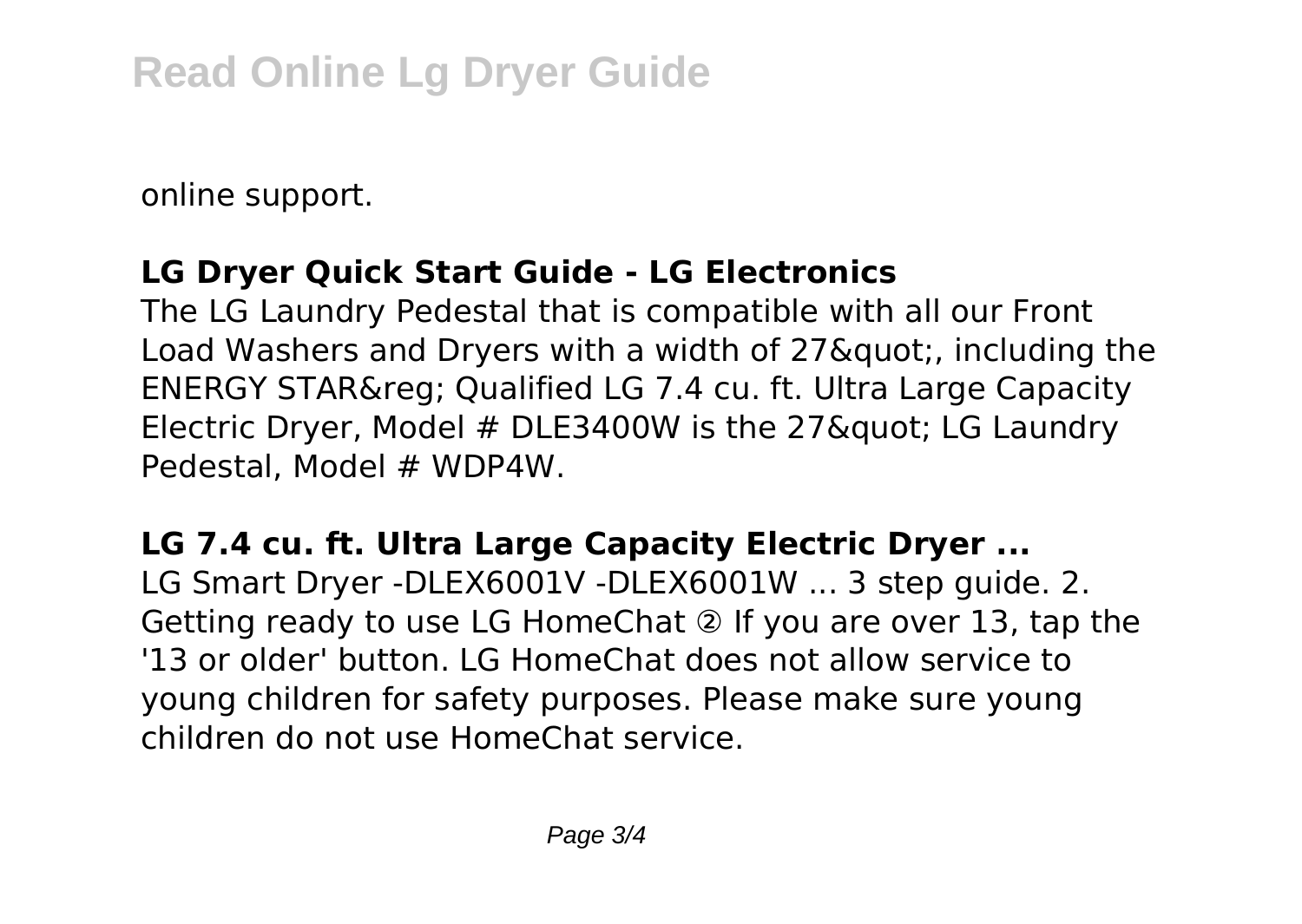online support.

#### **LG Dryer Quick Start Guide - LG Electronics**

The LG Laundry Pedestal that is compatible with all our Front Load Washers and Drvers with a width of 27& quot:, including the ENERGY STAR® Qualified LG 7.4 cu. ft. Ultra Large Capacity Electric Dryer, Model  $#$  DLE3400W is the 27 $\&$  aundry Pedestal, Model # WDP4W.

#### **LG 7.4 cu. ft. Ultra Large Capacity Electric Dryer ...**

LG Smart Dryer -DLEX6001V -DLEX6001W ... 3 step guide. 2. Getting ready to use LG HomeChat ② If you are over 13, tap the '13 or older' button. LG HomeChat does not allow service to young children for safety purposes. Please make sure young children do not use HomeChat service.